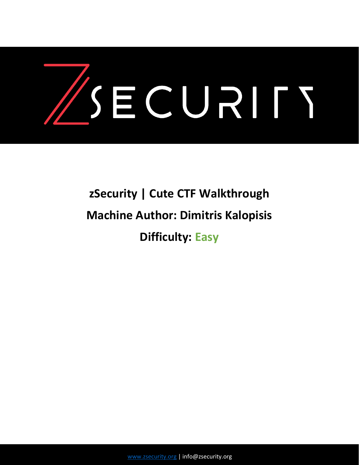

# **zSecurity | Cute CTF Walkthrough Machine Author: Dimitris Kalopisis Difficulty: Easy**

[www.zsecurity.org](http://www.zsecurity.org/) | info@zsecurity.org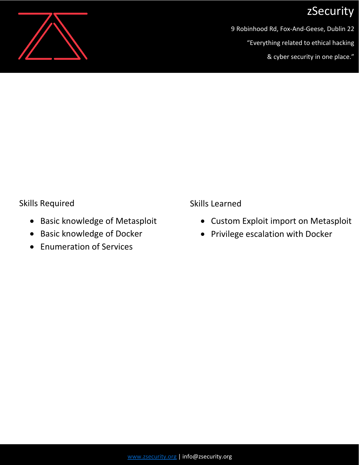

9 Robinhood Rd, Fox-And-Geese, Dublin 22

"Everything related to ethical hacking

& cyber security in one place."

#### Skills Required

- Basic knowledge of Metasploit
- Basic knowledge of Docker
- Enumeration of Services

Skills Learned

- Custom Exploit import on Metasploit
- Privilege escalation with Docker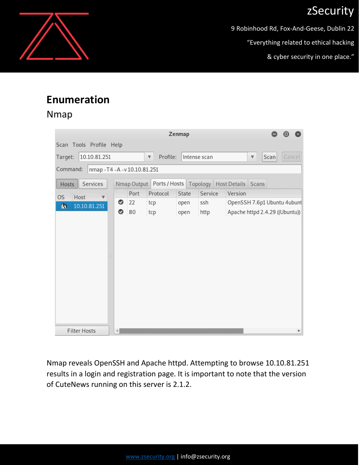9 Robinhood Rd, Fox-And-Geese, Dublin 22

"Everything related to ethical hacking

& cyber security in one place."

### **Enumeration**

### Nmap

|                                     |                                |                                                             | Zenmap |              |                                |                         |      |        |
|-------------------------------------|--------------------------------|-------------------------------------------------------------|--------|--------------|--------------------------------|-------------------------|------|--------|
| Scan Tools Profile Help             |                                |                                                             |        |              |                                |                         |      |        |
| 10.10.81.251<br>Target:             |                                | Profile:<br>$\overline{\mathbb{V}}$                         |        | Intense scan |                                | $\overline{\mathbb{V}}$ | Scan | Cancel |
| Command:                            | nmap - T4 - A - v 10.10.81.251 |                                                             |        |              |                                |                         |      |        |
| Services<br>Hosts                   |                                | Nmap Output Ports / Hosts   Topology   Host Details   Scans |        |              |                                |                         |      |        |
| OS<br>Host<br>$\boldsymbol{\nabla}$ | Port                           | Protocol                                                    | State  | Service      | Version                        |                         |      |        |
| ß.<br>10.10.81.251                  | 22<br>◎                        | tcp                                                         | open   | ssh          | OpenSSH 7.6p1 Ubuntu 4ubunt    |                         |      |        |
|                                     | ◎<br>80                        | tcp                                                         | open   | http         | Apache httpd 2.4.29 ((Ubuntu)) |                         |      |        |
|                                     |                                |                                                             |        |              |                                |                         |      |        |
| <b>Filter Hosts</b>                 | $\frac{1}{2}$                  |                                                             |        |              |                                |                         |      | Þ      |

Nmap reveals OpenSSH and Apache httpd. Attempting to browse 10.10.81.251 results in a login and registration page. It is important to note that the version of CuteNews running on this server is 2.1.2.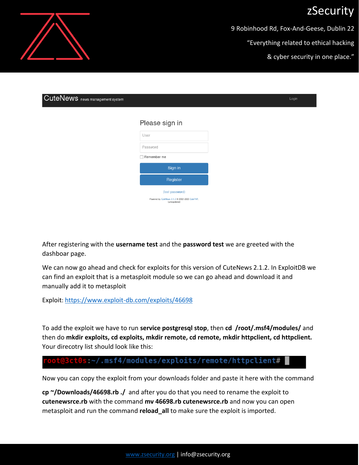9 Robinhood Rd, Fox-And-Geese, Dublin 22

"Everything related to ethical hacking

& cyber security in one place."

| CuteNews news management system |                                                                  | Login |
|---------------------------------|------------------------------------------------------------------|-------|
|                                 |                                                                  |       |
|                                 | Please sign in                                                   |       |
|                                 | User                                                             |       |
|                                 | Password                                                         |       |
|                                 | Remember me                                                      |       |
|                                 | Sign in                                                          |       |
|                                 | Register                                                         |       |
|                                 | (lost password)                                                  |       |
|                                 | Powered by CuteNews 2.1.2 @ 2002-2020 CutePHP.<br>(unregistered) |       |

After registering with the **username test** and the **password test** we are greeted with the dashboar page.

We can now go ahead and check for exploits for this version of CuteNews 2.1.2. In ExploitDB we can find an exploit that is a metasploit module so we can go ahead and download it and manually add it to metasploit

Exploit: <https://www.exploit-db.com/exploits/46698>

To add the exploit we have to run **service postgresql stop**, then **cd /root/.msf4/modules/** and then do **mkdir exploits, cd exploits, mkdir remote, cd remote, mkdir httpclient, cd httpclient.**  Your direcotry list should look like this:

#### t@3ct0s:~/.msf4/modules/exploits/remote/httpclient#

Now you can copy the exploit from your downloads folder and paste it here with the command

**cp ~/Downloads/46698.rb ./** and after you do that you need to rename the exploit to **cutenewsrce.rb** with the command **mv 46698.rb cutenewsrce.rb** and now you can open metasploit and run the command **reload\_all** to make sure the exploit is imported.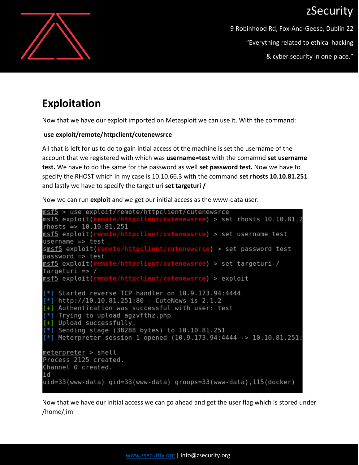

9 Robinhood Rd, Fox-And-Geese, Dublin 22 "Everything related to ethical hacking

& cyber security in one place."

### **Exploitation**

Now that we have our exploit imported on Metasploit we can use it. With the command:

#### **use exploit/remote/httpclient/cutenewsrce**

All that is left for us to do to gain intial access ot the machine is set the username of the account that we registered with which was **username=test** with the comamnd **set username test.** We have to do the same for the password as well **set password test.** Now we have to specify the RHOST which in my case is 10.10.66.3 with the command **set rhosts 10.10.81.251** and lastly we have to specify the target uri **set targeturi /**

Now we can run **exploit** and we get our initial access as the www-data user.



Now that we have our initial access we can go ahead and get the user flag which is stored under /home/jim